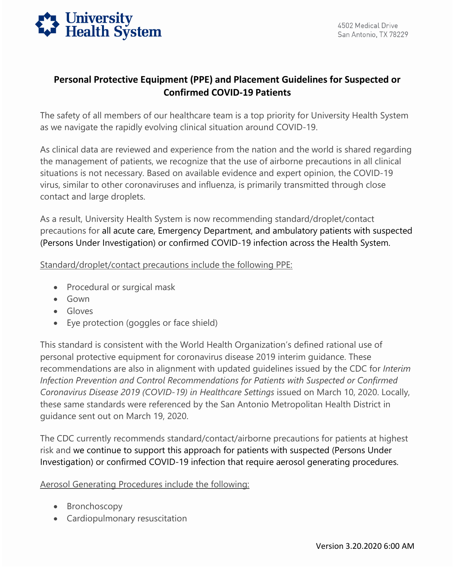

## **Personal Protective Equipment (PPE) and Placement Guidelines for Suspected or Confirmed COVID-19 Patients**

The safety of all members of our healthcare team is a top priority for University Health System as we navigate the rapidly evolving clinical situation around COVID-19.

As clinical data are reviewed and experience from the nation and the world is shared regarding the management of patients, we recognize that the use of airborne precautions in all clinical situations is not necessary. Based on available evidence and expert opinion, the COVID-19 virus, similar to other coronaviruses and influenza, is primarily transmitted through close contact and large droplets.

As a result, University Health System is now recommending standard/droplet/contact precautions for all acute care, Emergency Department, and ambulatory patients with suspected (Persons Under Investigation) or confirmed COVID-19 infection across the Health System.

Standard/droplet/contact precautions include the following PPE:

- Procedural or surgical mask
- Gown
- Gloves
- Eye protection (goggles or face shield)

 recommendations are also in alignment with updated guidelines issued by the CDC for *Interim*  This standard is consistent with the World Health Organization's defined rational use of personal protective equipment for coronavirus disease 2019 interim guidance. These *Infection Prevention and Control Recommendations for Patients with Suspected or Confirmed Coronavirus Disease 2019 (COVID-19) in Healthcare Settings* issued on March 10, 2020. Locally, these same standards were referenced by the San Antonio Metropolitan Health District in guidance sent out on March 19, 2020.

The CDC currently recommends standard/contact/airborne precautions for patients at highest risk and we continue to support this approach for patients with suspected (Persons Under Investigation) or confirmed COVID-19 infection that require aerosol generating procedures.

Aerosol Generating Procedures include the following:

- Bronchoscopy
- Cardiopulmonary resuscitation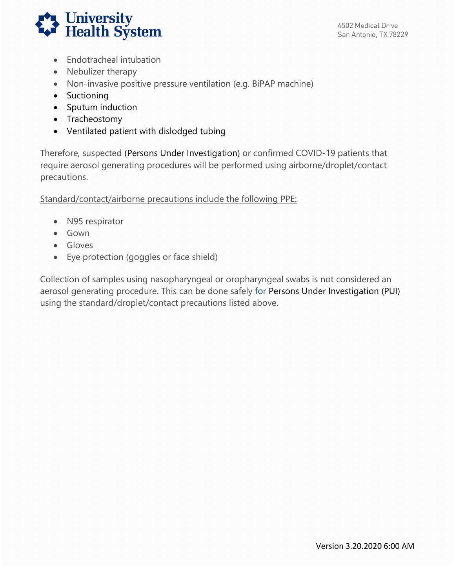

San Antonio, TX 78229

- Endotracheal intubation
- Nebulizer therapy
- Non-invasive positive pressure ventilation (e.g. BiPAP machine)
- Suctioning
- Sputum induction
- Tracheostomy
- Ventilated patient with dislodged tubing

precautions. Therefore, suspected (Persons Under Investigation) or confirmed COVID-19 patients that require aerosol generating procedures will be performed using airborne/droplet/contact

Standard/contact/airborne precautions include the following PPE:

- N95 respirator
- Gown
- Gloves
- Eye protection (goggles or face shield)

Collection of samples using nasopharyngeal or oropharyngeal swabs is not considered an aerosol generating procedure. This can be done safely for Persons Under Investigation (PUI) using the standard/droplet/contact precautions listed above.